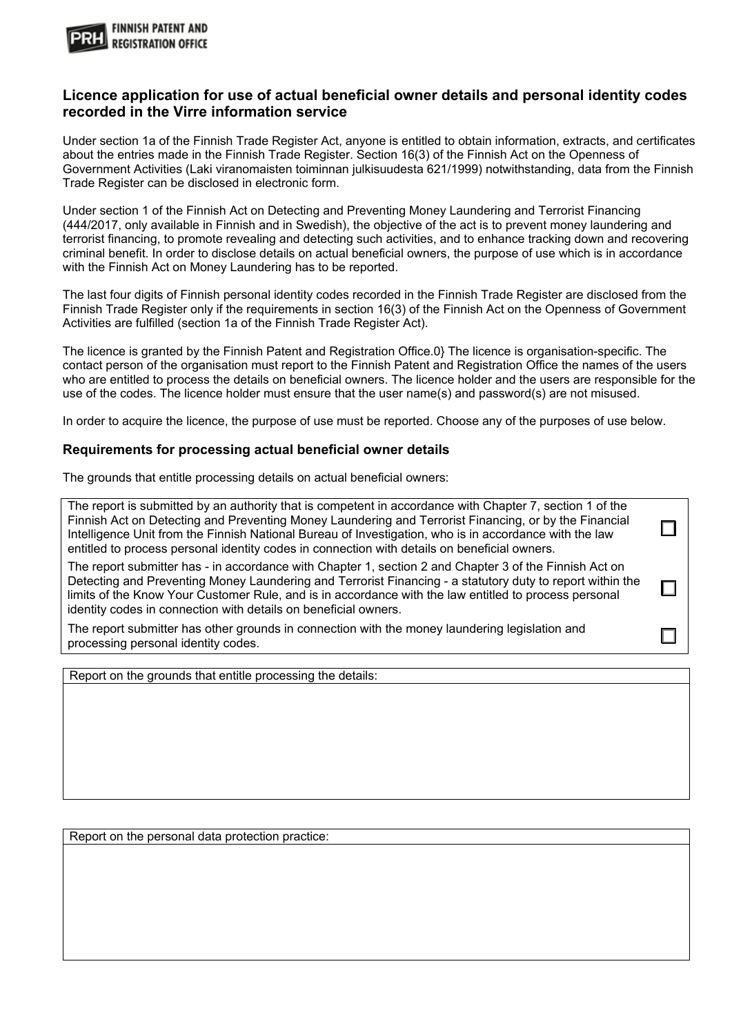

## **Licence application for use of actual beneficial owner details and personal identity codes recorded in the Virre information service**

Under section 1a of the Finnish Trade Register Act, anyone is entitled to obtain information, extracts, and certificates about the entries made in the Finnish Trade Register. Section 16(3) of the Finnish Act on the Openness of Government Activities (Laki viranomaisten toiminnan julkisuudesta 621/1999) notwithstanding, data from the Finnish Trade Register can be disclosed in electronic form.

Under section 1 of the Finnish Act on Detecting and Preventing Money Laundering and Terrorist Financing (444/2017, only available in Finnish and in Swedish), the objective of the act is to prevent money laundering and terrorist financing, to promote revealing and detecting such activities, and to enhance tracking down and recovering criminal benefit. In order to disclose details on actual beneficial owners, the purpose of use which is in accordance with the Finnish Act on Money Laundering has to be reported.

The last four digits of Finnish personal identity codes recorded in the Finnish Trade Register are disclosed from the Finnish Trade Register only if the requirements in section 16(3) of the Finnish Act on the Openness of Government Activities are fulfilled (section 1a of the Finnish Trade Register Act).

The licence is granted by the Finnish Patent and Registration Office.0} The licence is organisation-specific. The contact person of the organisation must report to the Finnish Patent and Registration Office the names of the users who are entitled to process the details on beneficial owners. The licence holder and the users are responsible for the use of the codes. The licence holder must ensure that the user name(s) and password(s) are not misused.

In order to acquire the licence, the purpose of use must be reported. Choose any of the purposes of use below.

## **Requirements for processing actual beneficial owner details**

The grounds that entitle processing details on actual beneficial owners:

The report is submitted by an authority that is competent in accordance with Chapter 7, section 1 of the Finnish Act on Detecting and Preventing Money Laundering and Terrorist Financing, or by the Financial П Intelligence Unit from the Finnish National Bureau of Investigation, who is in accordance with the law entitled to process personal identity codes in connection with details on beneficial owners.

The report submitter has - in accordance with Chapter 1, section 2 and Chapter 3 of the Finnish Act on Detecting and Preventing Money Laundering and Terrorist Financing - a statutory duty to report within the limits of the Know Your Customer Rule, and is in accordance with the law entitled to process personal identity codes in connection with details on beneficial owners.

П

The report submitter has other grounds in connection with the money laundering legislation and processing personal identity codes.

Report on the grounds that entitle processing the details:

Report on the personal data protection practice: